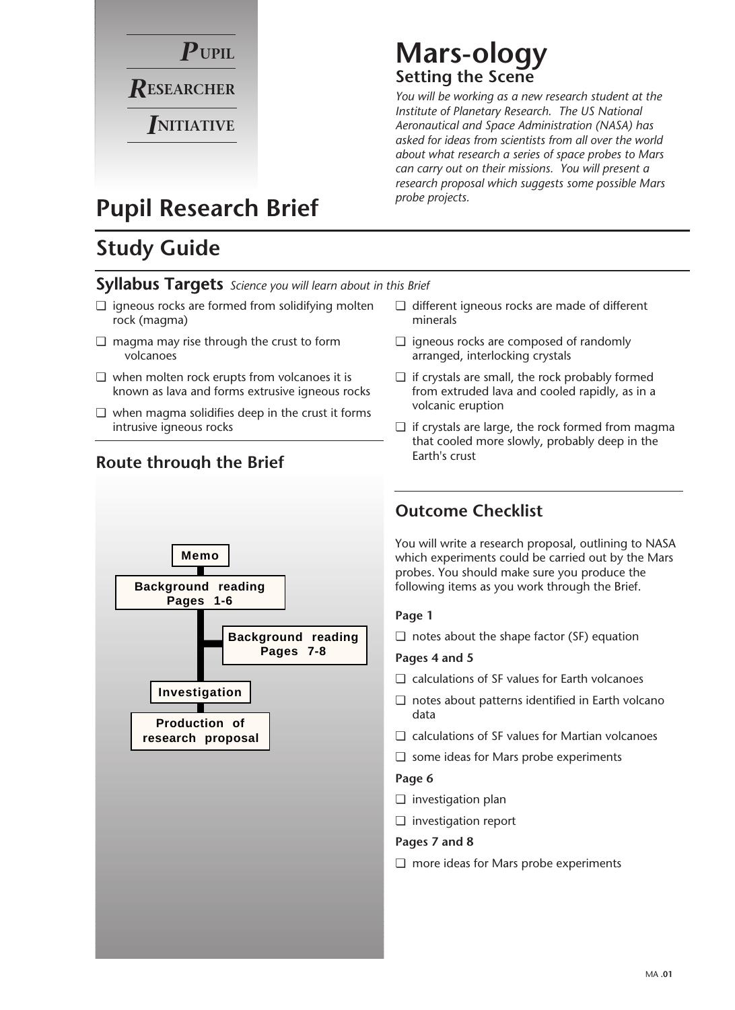

## **Mars-ology Setting the Scene**

*You will be working as a new research student at the Institute of Planetary Research. The US National Aeronautical and Space Administration (NASA) has asked for ideas from scientists from all over the world about what research a series of space probes to Mars can carry out on their missions. You will present a research proposal which suggests some possible Mars probe projects.* 

## **Pupil Research Brief**

## **Study Guide**

### **Syllabus Targets** *Science you will learn about in this Brief*

- ❏ igneous rocks are formed from solidifying molten rock (magma)
- ❏ magma may rise through the crust to form volcanoes
- ❏ when molten rock erupts from volcanoes it is known as lava and forms extrusive igneous rocks
- ❏ when magma solidifies deep in the crust it forms intrusive igneous rocks



### **Route through the Brief**

- ❏ different igneous rocks are made of different minerals
- ❏ igneous rocks are composed of randomly arranged, interlocking crystals
- ❏ if crystals are small, the rock probably formed from extruded lava and cooled rapidly, as in a volcanic eruption
- ❏ if crystals are large, the rock formed from magma that cooled more slowly, probably deep in the Earth's crust

### **Outcome Checklist**

You will write a research proposal, outlining to NASA which experiments could be carried out by the Mars probes. You should make sure you produce the following items as you work through the Brief.

### **Page 1**

❏ notes about the shape factor (SF) equation

### **Pages 4 and 5**

- ❏ calculations of SF values for Earth volcanoes
- ❏ notes about patterns identified in Earth volcano data
- ❏ calculations of SF values for Martian volcanoes
- ❏ some ideas for Mars probe experiments

#### **Page 6**

- ❏ investigation plan
- ❏ investigation report
- **Pages 7 and 8**
- ❏ more ideas for Mars probe experiments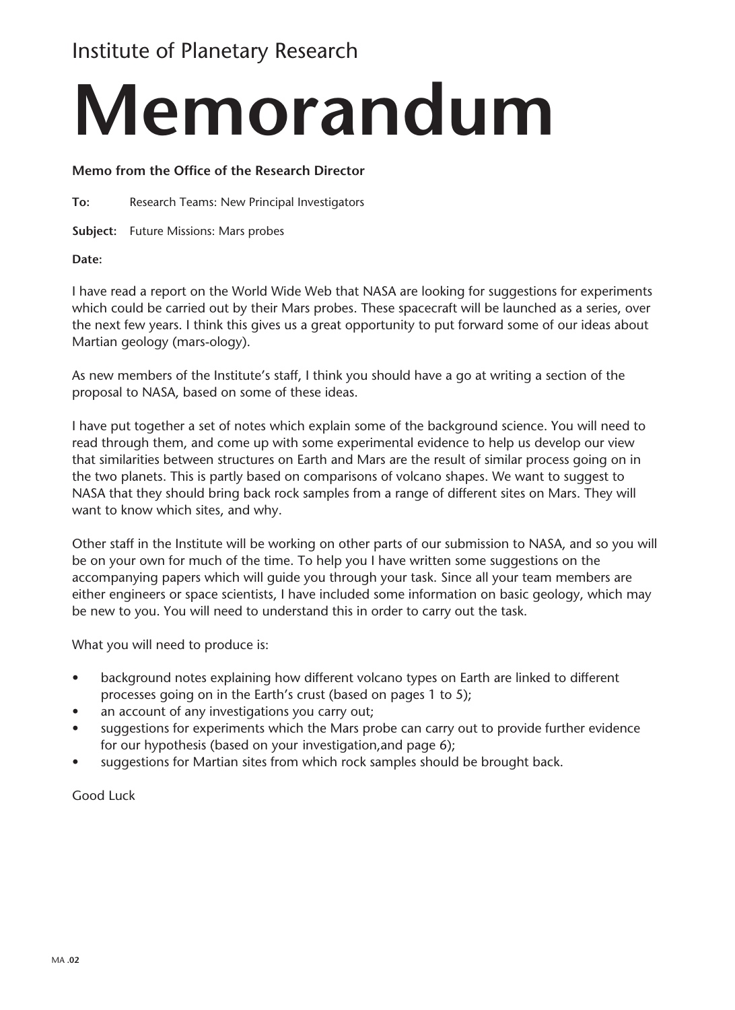## Institute of Planetary Research

# **Memorandum**

### **Memo from the Office of the Research Director**

**To:** Research Teams: New Principal Investigators

**Subject:** Future Missions: Mars probes

**Date:**

I have read a report on the World Wide Web that NASA are looking for suggestions for experiments which could be carried out by their Mars probes. These spacecraft will be launched as a series, over the next few years. I think this gives us a great opportunity to put forward some of our ideas about Martian geology (mars-ology).

As new members of the Institute's staff, I think you should have a go at writing a section of the proposal to NASA, based on some of these ideas.

I have put together a set of notes which explain some of the background science. You will need to read through them, and come up with some experimental evidence to help us develop our view that similarities between structures on Earth and Mars are the result of similar process going on in the two planets. This is partly based on comparisons of volcano shapes. We want to suggest to NASA that they should bring back rock samples from a range of different sites on Mars. They will want to know which sites, and why.

Other staff in the Institute will be working on other parts of our submission to NASA, and so you will be on your own for much of the time. To help you I have written some suggestions on the accompanying papers which will guide you through your task. Since all your team members are either engineers or space scientists, I have included some information on basic geology, which may be new to you. You will need to understand this in order to carry out the task.

What you will need to produce is:

- background notes explaining how different volcano types on Earth are linked to different processes going on in the Earth's crust (based on pages 1 to 5);
- an account of any investigations you carry out;
- suggestions for experiments which the Mars probe can carry out to provide further evidence for our hypothesis (based on your investigation,and page 6);
- suggestions for Martian sites from which rock samples should be brought back.

Good Luck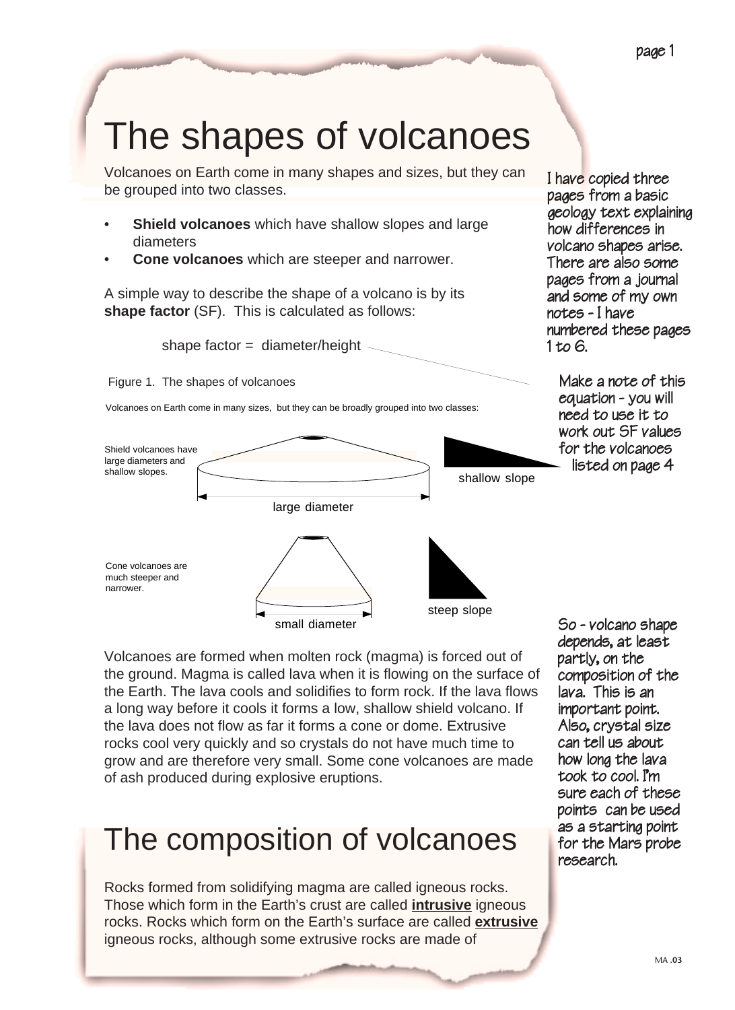page 1

# The shapes of volcanoes

Volcanoes on Earth come in many shapes and sizes, but they can be grouped into two classes.

- **Shield volcanoes** which have shallow slopes and large diameters
- **Cone volcanoes** which are steeper and narrower.

A simple way to describe the shape of a volcano is by its **shape factor** (SF). This is calculated as follows:



Figure 1. The shapes of volcanoes

Volcanoes on Earth come in many sizes, but they can be broadly grouped into two classes:



I have copied three pages from a basic geology text explaining how differences in volcano shapes arise. There are also some pages from a journal and some of my own notes - I have numbered these pages 1 to 6.

> Make a note of this equation - you will need to use it to work out SF values for the volcanoes<br>- listed on page 4

Volcanoes are formed when molten rock (magma) is forced out of the ground. Magma is called lava when it is flowing on the surface of the Earth. The lava cools and solidifies to form rock. If the lava flows a long way before it cools it forms a low, shallow shield volcano. If the lava does not flow as far it forms a cone or dome. Extrusive rocks cool very quickly and so crystals do not have much time to grow and are therefore very small. Some cone volcanoes are made of ash produced during explosive eruptions.

## The composition of volcanoes

Rocks formed from solidifying magma are called igneous rocks. Those which form in the Earth's crust are called **intrusive** igneous rocks. Rocks which form on the Earth's surface are called **extrusive** igneous rocks, although some extrusive rocks are made of

So - volcano shape depends, at least partly, on the composition of the lava. This is an important point. Also, crystal size can tell us about how long the lava took to cool. I'm sure each of these points can be used as a starting point for the Mars probe research.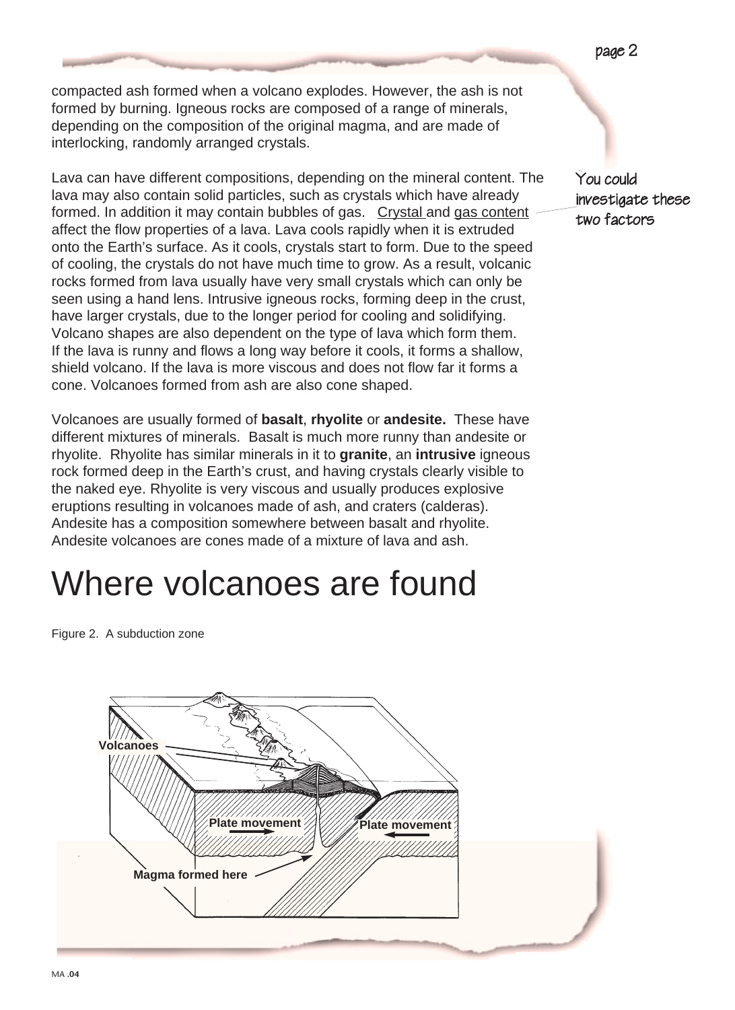compacted ash formed when a volcano explodes. However, the ash is not formed by burning. Igneous rocks are composed of a range of minerals, depending on the composition of the original magma, and are made of interlocking, randomly arranged crystals.

Lava can have different compositions, depending on the mineral content. The lava may also contain solid particles, such as crystals which have already formed. In addition it may contain bubbles of gas. Crystal and gas content affect the flow properties of a lava. Lava cools rapidly when it is extruded onto the Earth's surface. As it cools, crystals start to form. Due to the speed of cooling, the crystals do not have much time to grow. As a result, volcanic rocks formed from lava usually have very small crystals which can only be seen using a hand lens. Intrusive igneous rocks, forming deep in the crust, have larger crystals, due to the longer period for cooling and solidifying. Volcano shapes are also dependent on the type of lava which form them. If the lava is runny and flows a long way before it cools, it forms a shallow, shield volcano. If the lava is more viscous and does not flow far it forms a cone. Volcanoes formed from ash are also cone shaped.

Volcanoes are usually formed of **basalt**, **rhyolite** or **andesite.** These have different mixtures of minerals. Basalt is much more runny than andesite or rhyolite. Rhyolite has similar minerals in it to **granite**, an **intrusive** igneous rock formed deep in the Earth's crust, and having crystals clearly visible to the naked eye. Rhyolite is very viscous and usually produces explosive eruptions resulting in volcanoes made of ash, and craters (calderas). Andesite has a composition somewhere between basalt and rhyolite. Andesite volcanoes are cones made of a mixture of lava and ash.

# Where volcanoes are found

Figure 2. A subduction zone



You could investigate these two factors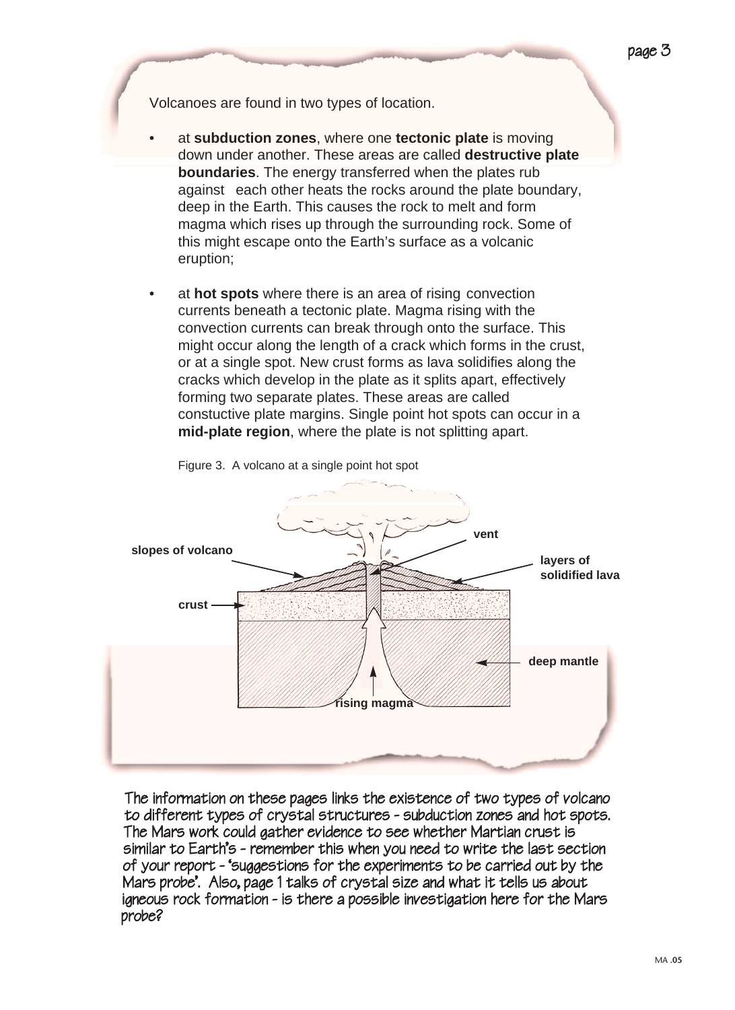Volcanoes are found in two types of location.

- at **subduction zones**, where one **tectonic plate** is moving down under another. These areas are called **destructive plate boundaries**. The energy transferred when the plates rub against each other heats the rocks around the plate boundary, deep in the Earth. This causes the rock to melt and form magma which rises up through the surrounding rock. Some of this might escape onto the Earth's surface as a volcanic eruption;
- at **hot spots** where there is an area of rising convection currents beneath a tectonic plate. Magma rising with the convection currents can break through onto the surface. This might occur along the length of a crack which forms in the crust, or at a single spot. New crust forms as lava solidifies along the cracks which develop in the plate as it splits apart, effectively forming two separate plates. These areas are called constuctive plate margins. Single point hot spots can occur in a **mid-plate region**, where the plate is not splitting apart.



Figure 3. A volcano at a single point hot spot

The information on these pages links the existence of two types of volcano to different types of crystal structures - subduction zones and hot spots. The Mars work could gather evidence to see whether Martian crust is similar to Earth's - remember this when you need to write the last section of your report - 'suggestions for the experiments to be carried out by the Mars probe'. Also, page 1 talks of crystal size and what it tells us about igneous rock formation - is there a possible investigation here for the Mars probe?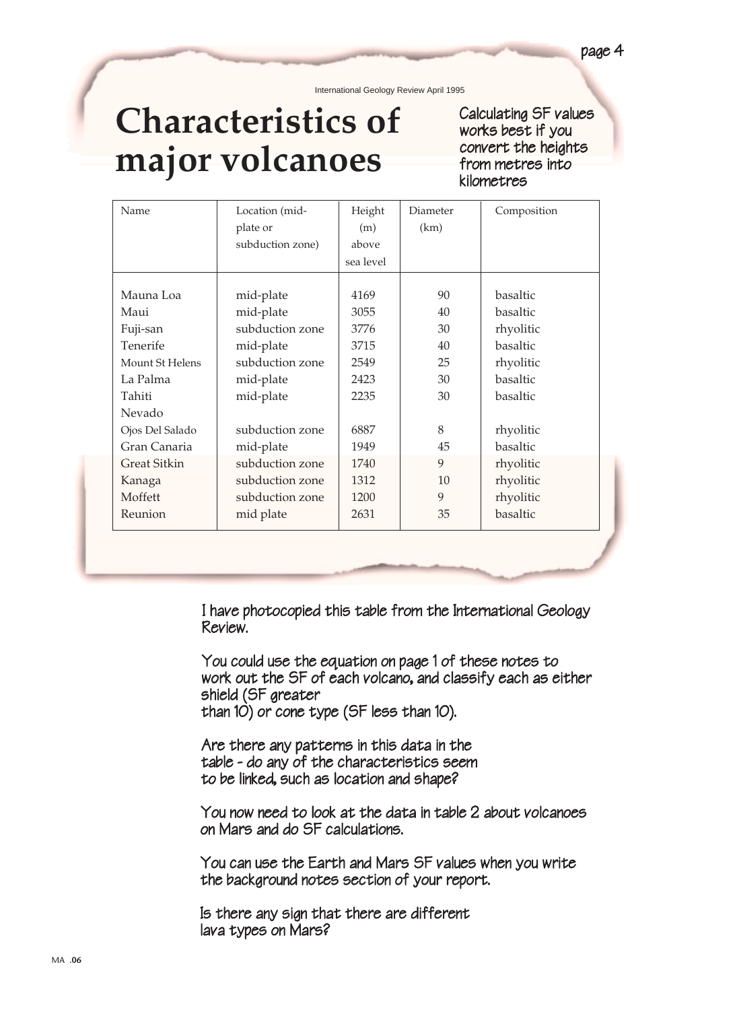International Geology Review April 1995

# **Characteristics of major volcanoes**

Calculating SF values works best if you convert the heights from metres into kilometres

| Name                | Location (mid-   | Height    | Diameter | Composition |
|---------------------|------------------|-----------|----------|-------------|
|                     | plate or         | (m)       | (km)     |             |
|                     | subduction zone) | above     |          |             |
|                     |                  | sea level |          |             |
|                     |                  |           |          |             |
| Mauna Loa           | mid-plate        | 4169      | 90       | basaltic    |
| Maui                | mid-plate        | 3055      | 40       | basaltic    |
| Fuji-san            | subduction zone  | 3776      | 30       | rhyolitic   |
| Tenerife            | mid-plate        | 3715      | 40       | basaltic    |
| Mount St Helens     | subduction zone  | 2549      | 25       | rhyolitic   |
| La Palma            | mid-plate        | 2423      | 30       | basaltic    |
| Tahiti              | mid-plate        | 2235      | 30       | basaltic    |
| Nevado              |                  |           |          |             |
| Ojos Del Salado     | subduction zone  | 6887      | 8        | rhyolitic   |
| Gran Canaria        | mid-plate        | 1949      | 45       | basaltic    |
| <b>Great Sitkin</b> | subduction zone  | 1740      | 9        | rhyolitic   |
| Kanaga              | subduction zone  | 1312      | 10       | rhyolitic   |
| Moffett             | subduction zone  | 1200      | 9        | rhyolitic   |
| Reunion             | mid plate        | 2631      | 35       | basaltic    |
|                     |                  |           |          |             |
|                     |                  |           |          |             |
|                     |                  |           |          |             |

I have photocopied this table from the International Geology Review.

You could use the equation on page 1 of these notes to work out the SF of each volcano, and classify each as either shield (SF greater than 10) or cone type (SF less than 10).

Are there any patterns in this data in the table - do any of the characteristics seem to be linked, such as location and shape?

You now need to look at the data in table 2 about volcanoes on Mars and do SF calculations.

You can use the Earth and Mars SF values when you write the background notes section of your report.

Is there any sign that there are different lava types on Mars?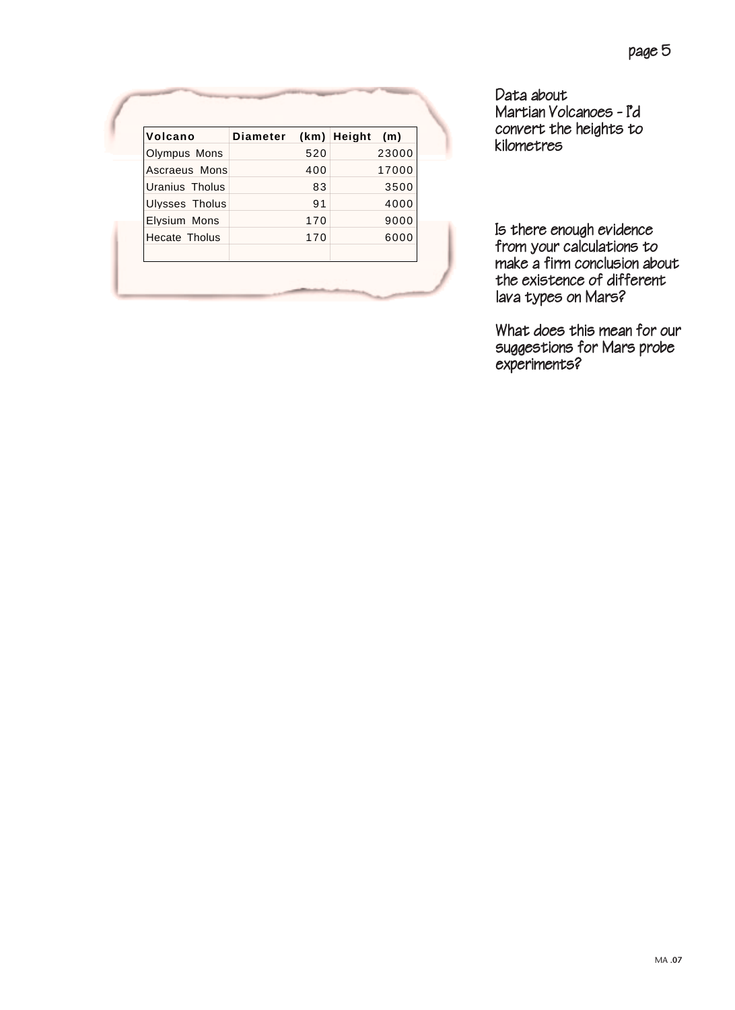| Volcano              | Diameter |     | (km) Height | (m)   |
|----------------------|----------|-----|-------------|-------|
| Olympus Mons         |          | 520 |             | 23000 |
| Ascraeus Mons        |          | 400 |             | 17000 |
| Uranius Tholus       |          | 83  |             | 3500  |
| Ulysses Tholus       |          | 91  |             | 4000  |
| Elysium Mons         |          | 170 |             | 9000  |
| <b>Hecate Tholus</b> |          | 170 |             | 6000  |

Data about Martian Volcanoes - I'd convert the heights to kilometres

Is there enough evidence from your calculations to make a firm conclusion about the existence of different lava types on Mars?

What does this mean for our suggestions for Mars probe experiments?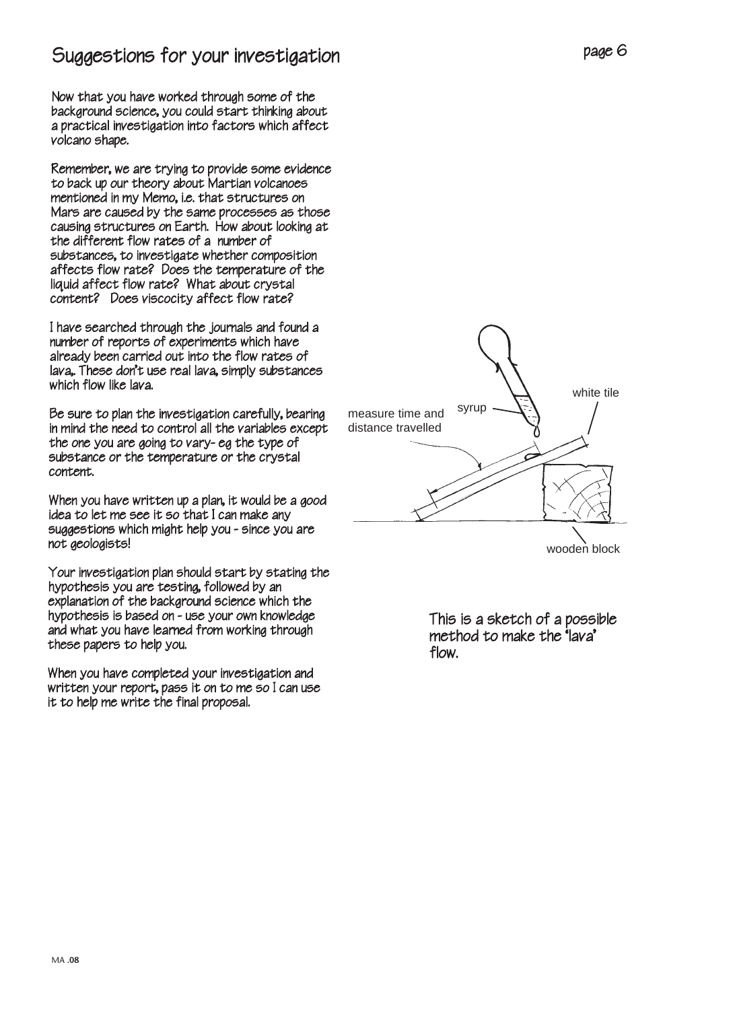### Suggestions for your investigation

Now that you have worked through some of the background science, you could start thinking about a practical investigation into factors which affect volcano shape.

Remember, we are trying to provide some evidence to back up our theory about Martian volcanoes mentioned in my Memo, i.e. that structures on Mars are caused by the same processes as those causing structures on Earth. How about looking at the different flow rates of a number of substances, to investigate whether composition affects flow rate? Does the temperature of the liquid affect flow rate? What about crystal content? Does viscocity affect flow rate?

I have searched through the journals and found a number of reports of experiments which have already been carried out into the flow rates of lava,. These don't use real lava, simply substances which flow like lava.

Be sure to plan the investigation carefully, bearing in mind the need to control all the variables except the one you are going to vary- eg the type of substance or the temperature or the crystal content.

When you have written up a plan, it would be a good idea to let me see it so that I can make any suggestions which might help you - since you are not geologists!

Your investigation plan should start by stating the hypothesis you are testing, followed by an explanation of the background science which the hypothesis is based on - use your own knowledge and what you have learned from working through these papers to help you.

When you have completed your investigation and written your report, pass it on to me so I can use it to help me write the final proposal.



This is a sketch of a possible method to make the 'lava' flow.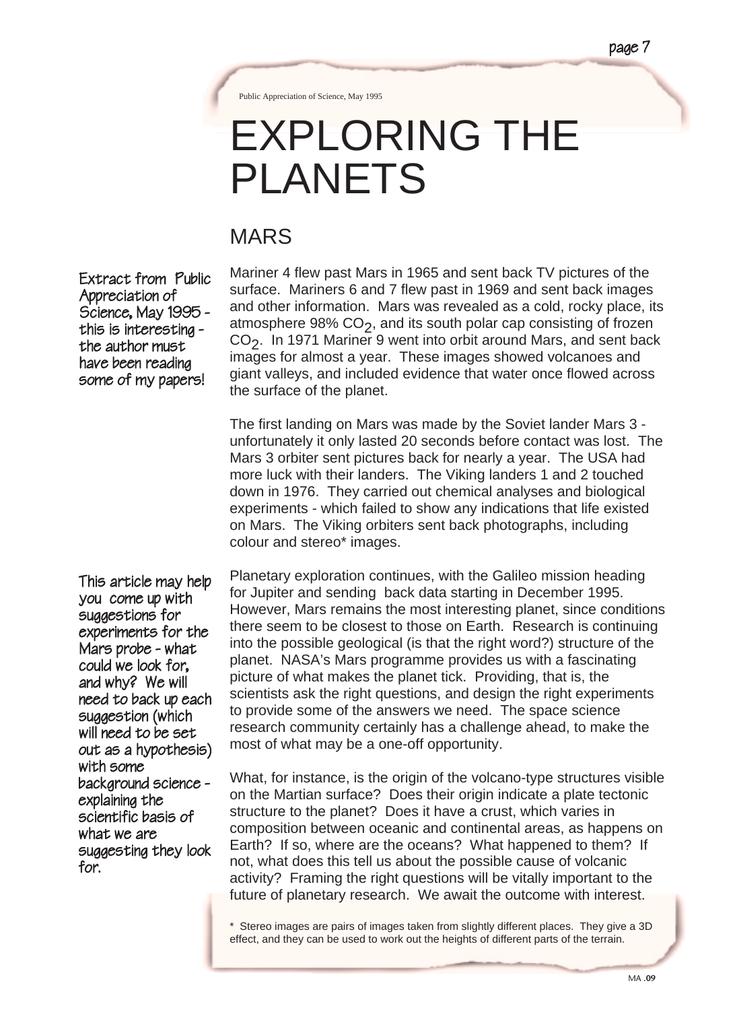Public Appreciation of Science, May 1995

# EXPLORING THE PLANETS

### MARS

Extract from Public Appreciation of Science, May 1995 - this is interesting - the author must have been reading some of my papers!

Mariner 4 flew past Mars in 1965 and sent back TV pictures of the surface. Mariners 6 and 7 flew past in 1969 and sent back images and other information. Mars was revealed as a cold, rocky place, its atmosphere 98%  $CO<sub>2</sub>$ , and its south polar cap consisting of frozen  $CO<sub>2</sub>$ . In 1971 Mariner 9 went into orbit around Mars, and sent back images for almost a year. These images showed volcanoes and giant valleys, and included evidence that water once flowed across the surface of the planet.

The first landing on Mars was made by the Soviet lander Mars 3 unfortunately it only lasted 20 seconds before contact was lost. The Mars 3 orbiter sent pictures back for nearly a year. The USA had more luck with their landers. The Viking landers 1 and 2 touched down in 1976. They carried out chemical analyses and biological experiments - which failed to show any indications that life existed on Mars. The Viking orbiters sent back photographs, including colour and stereo\* images.

This article may help you come up with suggestions for experiments for the Mars probe - what could we look for, and why? We will need to back up each suggestion (which will need to be set out as a hypothesis) with some background science -<br>explainina the scientific basis of what we are suggesting they look for.

Planetary exploration continues, with the Galileo mission heading for Jupiter and sending back data starting in December 1995. However, Mars remains the most interesting planet, since conditions there seem to be closest to those on Earth. Research is continuing into the possible geological (is that the right word?) structure of the planet. NASA's Mars programme provides us with a fascinating picture of what makes the planet tick. Providing, that is, the scientists ask the right questions, and design the right experiments to provide some of the answers we need. The space science research community certainly has a challenge ahead, to make the most of what may be a one-off opportunity.

What, for instance, is the origin of the volcano-type structures visible on the Martian surface? Does their origin indicate a plate tectonic structure to the planet? Does it have a crust, which varies in composition between oceanic and continental areas, as happens on Earth? If so, where are the oceans? What happened to them? If not, what does this tell us about the possible cause of volcanic activity? Framing the right questions will be vitally important to the future of planetary research. We await the outcome with interest.

\* Stereo images are pairs of images taken from slightly different places. They give a 3D effect, and they can be used to work out the heights of different parts of the terrain.